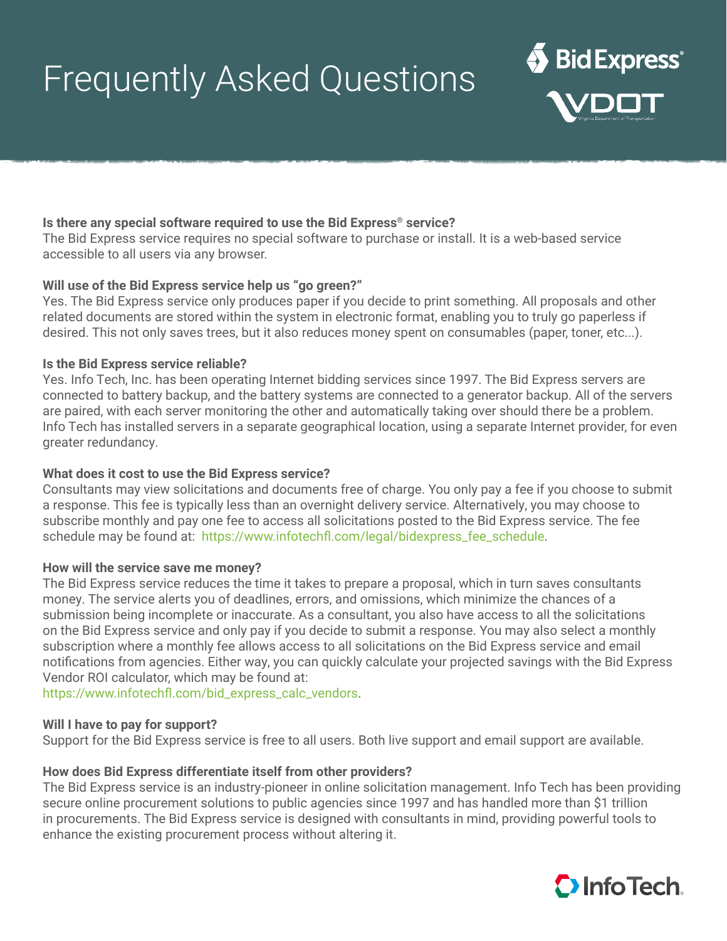# Frequently Asked Questions

# **Is there any special software required to use the Bid Express® service?**

The Bid Express service requires no special software to purchase or install. It is a web-based service accessible to all users via any browser.

## **Will use of the Bid Express service help us "go green?"**

Yes. The Bid Express service only produces paper if you decide to print something. All proposals and other related documents are stored within the system in electronic format, enabling you to truly go paperless if desired. This not only saves trees, but it also reduces money spent on consumables (paper, toner, etc...).

## **Is the Bid Express service reliable?**

Yes. Info Tech, Inc. has been operating Internet bidding services since 1997. The Bid Express servers are connected to battery backup, and the battery systems are connected to a generator backup. All of the servers are paired, with each server monitoring the other and automatically taking over should there be a problem. Info Tech has installed servers in a separate geographical location, using a separate Internet provider, for even greater redundancy.

#### **What does it cost to use the Bid Express service?**

Consultants may view solicitations and documents free of charge. You only pay a fee if you choose to submit a response. This fee is typically less than an overnight delivery service. Alternatively, you may choose to subscribe monthly and pay one fee to access all solicitations posted to the Bid Express service. The fee schedule may be found at: https://www.infotechfl.com/legal/bidexpress\_fee\_schedule.

#### **How will the service save me money?**

The Bid Express service reduces the time it takes to prepare a proposal, which in turn saves consultants money. The service alerts you of deadlines, errors, and omissions, which minimize the chances of a submission being incomplete or inaccurate. As a consultant, you also have access to all the solicitations on the Bid Express service and only pay if you decide to submit a response. You may also select a monthly subscription where a monthly fee allows access to all solicitations on the Bid Express service and email notifications from agencies. Either way, you can quickly calculate your projected savings with the Bid Express Vendor ROI calculator, which may be found at:

https://www.infotechfl.com/bid\_express\_calc\_vendors.

#### **Will I have to pay for support?**

Support for the Bid Express service is free to all users. Both live support and email support are available.

#### **How does Bid Express differentiate itself from other providers?**

The Bid Express service is an industry-pioneer in online solicitation management. Info Tech has been providing secure online procurement solutions to public agencies since 1997 and has handled more than \$1 trillion in procurements. The Bid Express service is designed with consultants in mind, providing powerful tools to enhance the existing procurement process without altering it.



Bid Express®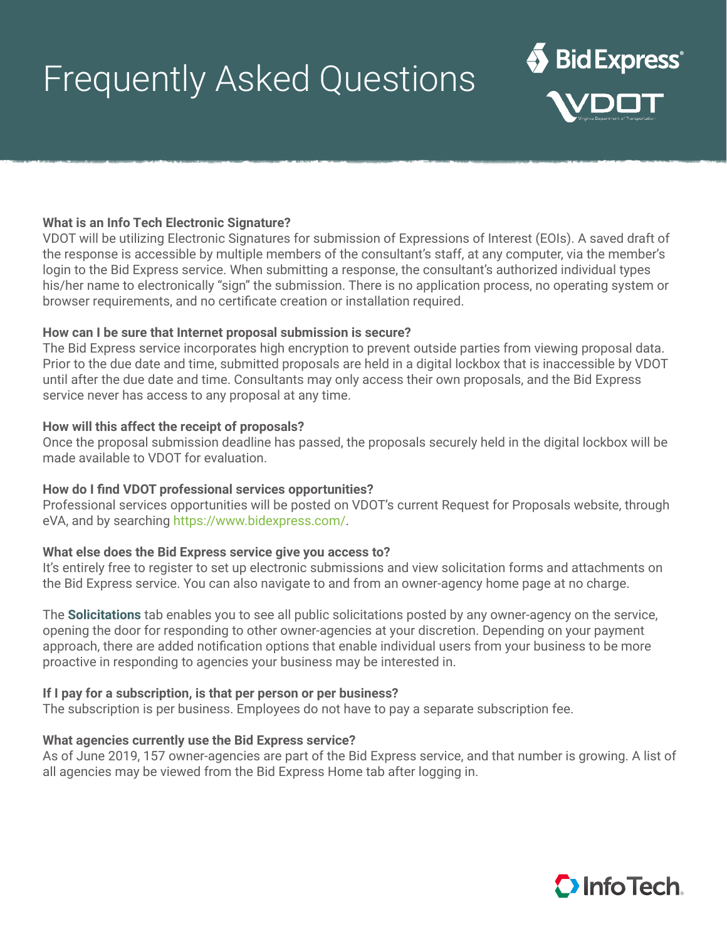# Frequently Asked Questions

# **What is an Info Tech Electronic Signature?**

VDOT will be utilizing Electronic Signatures for submission of Expressions of Interest (EOIs). A saved draft of the response is accessible by multiple members of the consultant's staff, at any computer, via the member's login to the Bid Express service. When submitting a response, the consultant's authorized individual types his/her name to electronically "sign" the submission. There is no application process, no operating system or browser requirements, and no certificate creation or installation required.

#### **How can I be sure that Internet proposal submission is secure?**

The Bid Express service incorporates high encryption to prevent outside parties from viewing proposal data. Prior to the due date and time, submitted proposals are held in a digital lockbox that is inaccessible by VDOT until after the due date and time. Consultants may only access their own proposals, and the Bid Express service never has access to any proposal at any time.

## **How will this affect the receipt of proposals?**

Once the proposal submission deadline has passed, the proposals securely held in the digital lockbox will be made available to VDOT for evaluation.

#### **How do I find VDOT professional services opportunities?**

Professional services opportunities will be posted on VDOT's current Request for Proposals website, through eVA, and by searching https://www.bidexpress.com/.

#### **What else does the Bid Express service give you access to?**

It's entirely free to register to set up electronic submissions and view solicitation forms and attachments on the Bid Express service. You can also navigate to and from an owner-agency home page at no charge.

The **Solicitations** tab enables you to see all public solicitations posted by any owner-agency on the service, opening the door for responding to other owner-agencies at your discretion. Depending on your payment approach, there are added notification options that enable individual users from your business to be more proactive in responding to agencies your business may be interested in.

#### **If I pay for a subscription, is that per person or per business?**

The subscription is per business. Employees do not have to pay a separate subscription fee.

#### **What agencies currently use the Bid Express service?**

As of June 2019, 157 owner-agencies are part of the Bid Express service, and that number is growing. A list of all agencies may be viewed from the Bid Express Home tab after logging in.



Bid Express®